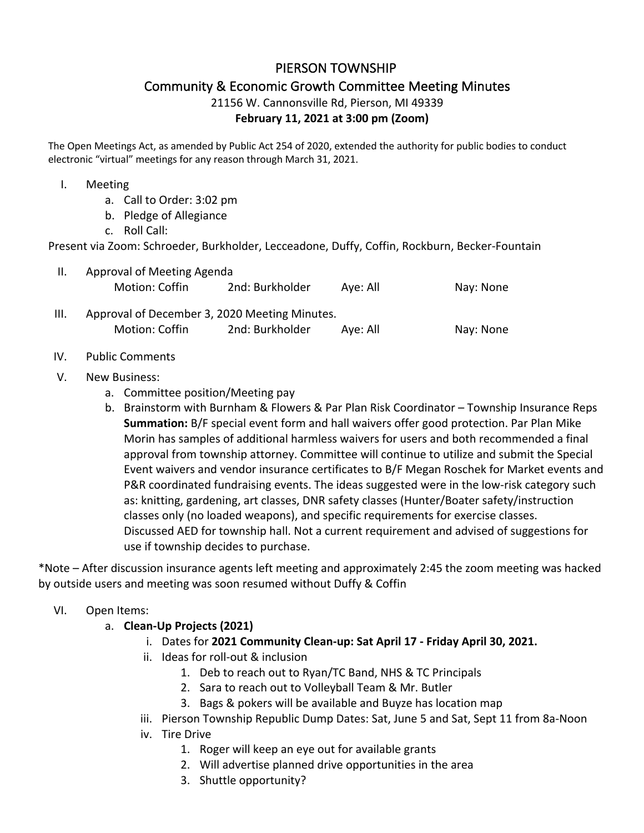# PIERSON TOWNSHIP

# Community & Economic Growth Committee Meeting Minutes

# 21156 W. Cannonsville Rd, Pierson, MI 49339

# **February 11, 2021 at 3:00 pm (Zoom)**

The Open Meetings Act, as amended by Public Act 254 of 2020, extended the authority for public bodies to conduct electronic "virtual" meetings for any reason through March 31, 2021.

#### I. Meeting

- a. Call to Order: 3:02 pm
- b. Pledge of Allegiance
- c. Roll Call:

Present via Zoom: Schroeder, Burkholder, Lecceadone, Duffy, Coffin, Rockburn, Becker-Fountain

| H.   | Approval of Meeting Agenda                    |                 |          |           |
|------|-----------------------------------------------|-----------------|----------|-----------|
|      | Motion: Coffin                                | 2nd: Burkholder | Aye: All | Nay: None |
| III. | Approval of December 3, 2020 Meeting Minutes. |                 |          |           |
|      | Motion: Coffin                                | 2nd: Burkholder | Aye: All | Nay: None |

#### IV. Public Comments

#### V. New Business:

- a. Committee position/Meeting pay
- b. Brainstorm with Burnham & Flowers & Par Plan Risk Coordinator Township Insurance Reps **Summation:** B/F special event form and hall waivers offer good protection. Par Plan Mike Morin has samples of additional harmless waivers for users and both recommended a final approval from township attorney. Committee will continue to utilize and submit the Special Event waivers and vendor insurance certificates to B/F Megan Roschek for Market events and P&R coordinated fundraising events. The ideas suggested were in the low-risk category such as: knitting, gardening, art classes, DNR safety classes (Hunter/Boater safety/instruction classes only (no loaded weapons), and specific requirements for exercise classes. Discussed AED for township hall. Not a current requirement and advised of suggestions for use if township decides to purchase.

\*Note – After discussion insurance agents left meeting and approximately 2:45 the zoom meeting was hacked by outside users and meeting was soon resumed without Duffy & Coffin

## VI. Open Items:

## a. **Clean-Up Projects (2021)**

- i. Dates for **2021 Community Clean-up: Sat April 17 - Friday April 30, 2021.**
- ii. Ideas for roll-out & inclusion
	- 1. Deb to reach out to Ryan/TC Band, NHS & TC Principals
	- 2. Sara to reach out to Volleyball Team & Mr. Butler
	- 3. Bags & pokers will be available and Buyze has location map
- iii. Pierson Township Republic Dump Dates: Sat, June 5 and Sat, Sept 11 from 8a-Noon
- iv. Tire Drive
	- 1. Roger will keep an eye out for available grants
	- 2. Will advertise planned drive opportunities in the area
	- 3. Shuttle opportunity?